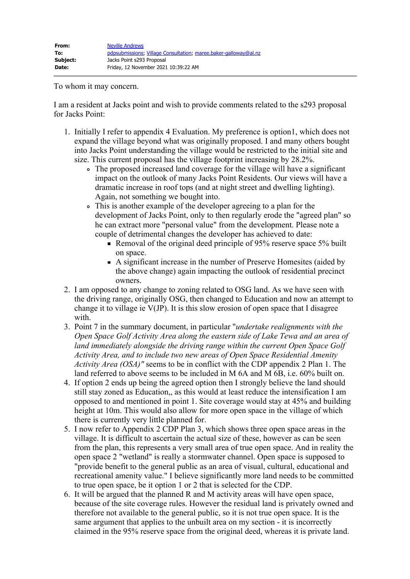To whom it may concern.

I am a resident at Jacks point and wish to provide comments related to the s293 proposal for Jacks Point:

- 1. Initially I refer to appendix 4 Evaluation. My preference is option1, which does not expand the village beyond what was originally proposed. I and many others bought into Jacks Point understanding the village would be restricted to the initial site and size. This current proposal has the village footprint increasing by 28.2%.
	- The proposed increased land coverage for the village will have a significant impact on the outlook of many Jacks Point Residents. Our views will have a dramatic increase in roof tops (and at night street and dwelling lighting). Again, not something we bought into.
	- This is another example of the developer agreeing to a plan for the development of Jacks Point, only to then regularly erode the "agreed plan" so he can extract more "personal value" from the development. Please note a couple of detrimental changes the developer has achieved to date:
		- Removal of the original deed principle of 95% reserve space 5% built on space.
		- A significant increase in the number of Preserve Homesites (aided by the above change) again impacting the outlook of residential precinct owners.
- 2. I am opposed to any change to zoning related to OSG land. As we have seen with the driving range, originally OSG, then changed to Education and now an attempt to change it to village ie  $V(JP)$ . It is this slow erosion of open space that I disagree with.
- 3. Point 7 in the summary document, in particular "*undertake realignments with the Open Space Golf Activity Area along the eastern side of Lake Tewa and an area of land immediately alongside the driving range within the current Open Space Golf Activity Area, and to include two new areas of Open Space Residential Amenity Activity Area (OSA)"* seems to be in conflict with the CDP appendix 2 Plan 1. The land referred to above seems to be included in M 6A and M 6B, i.e. 60% built on.
- 4. If option 2 ends up being the agreed option then I strongly believe the land should still stay zoned as Education,, as this would at least reduce the intensification I am opposed to and mentioned in point 1. Site coverage would stay at 45% and building height at 10m. This would also allow for more open space in the village of which there is currently very little planned for.
- 5. I now refer to Appendix 2 CDP Plan 3, which shows three open space areas in the village. It is difficult to ascertain the actual size of these, however as can be seen from the plan, this represents a very small area of true open space. And in reality the open space 2 "wetland" is really a stormwater channel. Open space is supposed to "provide benefit to the general public as an area of visual, cultural, educational and recreational amenity value." I believe significantly more land needs to be committed to true open space, be it option 1 or 2 that is selected for the CDP.
- 6. It will be argued that the planned R and M activity areas will have open space, because of the site coverage rules. However the residual land is privately owned and therefore not available to the general public, so it is not true open space. It is the same argument that applies to the unbuilt area on my section - it is incorrectly claimed in the 95% reserve space from the original deed, whereas it is private land.